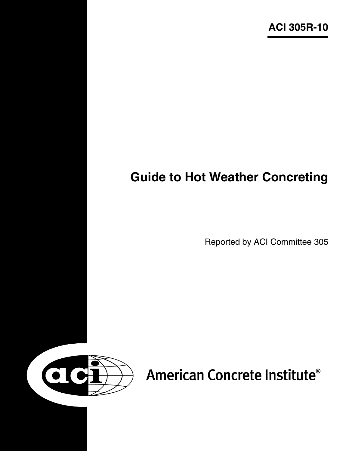# **Guide to Hot Weather Concreting**

Reported by ACI Committee 305



American Concrete Institute<sup>®</sup>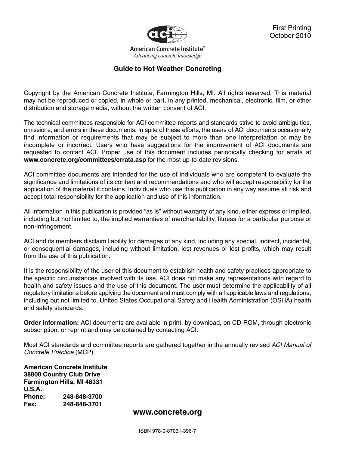

American Concrete Institute® *Advancing concrete knowledge*

# **Guide to Hot Weather Concreting**

Copyright by the American Concrete Institute, Farmington Hills, MI. All rights reserved. This material may not be reproduced or copied, in whole or part, in any printed, mechanical, electronic, film, or other distribution and storage media, without the written consent of ACI.

The technical committees responsible for ACI committee reports and standards strive to avoid ambiguities, omissions, and errors in these documents. In spite of these efforts, the users of ACI documents occasionally find information or requirements that may be subject to more than one interpretation or may be incomplete or incorrect. Users who have suggestions for the improvement of ACI documents are requested to contact ACI. Proper use of this document includes periodically checking for errata at **www.concrete.org/committees/errata.asp** for the most up-to-date revisions.

ACI committee documents are intended for the use of individuals who are competent to evaluate the significance and limitations of its content and recommendations and who will accept responsibility for the application of the material it contains. Individuals who use this publication in any way assume all risk and accept total responsibility for the application and use of this information.

All information in this publication is provided "as is" without warranty of any kind, either express or implied, including but not limited to, the implied warranties of merchantability, fitness for a particular purpose or non-infringement.

ACI and its members disclaim liability for damages of any kind, including any special, indirect, incidental, or consequential damages, including without limitation, lost revenues or lost profits, which may result from the use of this publication.

It is the responsibility of the user of this document to establish health and safety practices appropriate to the specific circumstances involved with its use. ACI does not make any representations with regard to health and safety issues and the use of this document. The user must determine the applicability of all regulatory limitations before applying the document and must comply with all applicable laws and regulations, including but not limited to, United States Occupational Safety and Health Administration (OSHA) health and safety standards.

**Order information:** ACI documents are available in print, by download, on CD-ROM, through electronic subscription, or reprint and may be obtained by contacting ACI.

Most ACI standards and committee reports are gathered together in the annually revised *ACI Manual of Concrete Practice* (MCP).

**American Concrete Institute 38800 Country Club Drive Farmington Hills, MI 48331 U.S.A. Phone: 248-848-3700 Fax: 248-848-3701**

# **www.concrete.org**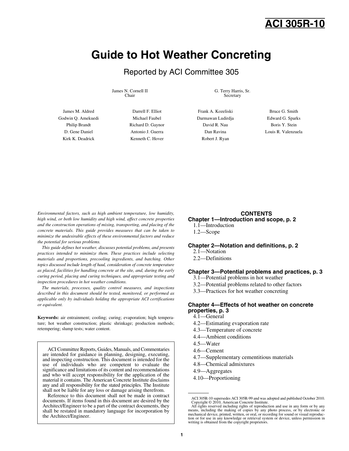# **ACI 305R-10**

# **Guide to Hot Weather Concreting**

# Reported by ACI Committee 305

James N. Cornell II Chair

Godwin O. Amekuedi **Michael Faubel Communisty Constant Darmawan Ludirdia** Edward G. Sparks Kirk K. Deadrick Kenneth C. Hover Robert J. Ryan

James M. Aldred Darrell F. Elliot Frank A. Kozeliski Bruce G. Smith

G. Terry Harris, Sr. Secretary

Philip Brandt Richard D. Gaynor Boris X. Stein David R. Nau Boris Y. Stein

D. Gene Daniel Antonio J. Guerra Dan Ravina Louis R. Valenzuela

*Environmental factors, such as high ambient temperature, low humidity, high wind, or both low humidity and high wind, affect concrete properties and the construction operations of mixing, transporting, and placing of the concrete materials. This guide provides measures that can be taken to minimize the undesirable effects of these environmental factors and reduce the potential for serious problems.*

*This guide defines hot weather, discusses potential problems, and presents practices intended to minimize them. These practices include selecting materials and proportions, precooling ingredients, and batching. Other topics discussed include length of haul, consideration of concrete temperature as placed, facilities for handling concrete at the site, and, during the early curing period, placing and curing techniques, and appropriate testing and inspection procedures in hot weather conditions.*

*The materials, processes, quality control measures, and inspections described in this document should be tested, monitored, or performed as applicable only by individuals holding the appropriate ACI certifications or equivalent.*

**Keywords:** air entrainment; cooling; curing; evaporation; high temperature; hot weather construction; plastic shrinkage; production methods; retempering; slump tests; water content.

ACI Committee Reports, Guides, Manuals, and Commentaries are intended for guidance in planning, designing, executing, and inspecting construction. This document is intended for the use of individuals who are competent to evaluate the significance and limitations of its content and recommendations and who will accept responsibility for the application of the material it contains. The American Concrete Institute disclaims any and all responsibility for the stated principles. The Institute shall not be liable for any loss or damage arising therefrom.

Reference to this document shall not be made in contract documents. If items found in this document are desired by the Architect/Engineer to be a part of the contract documents, they shall be restated in mandatory language for incorporation by the Architect/Engineer.

#### **CONTENTS**

# **Chapter 1—Introduction and scope, p. 2**

1.1—Introduction 1.2—Scope

#### **Chapter 2—Notation and definitions, p. 2**

- 2.1—Notation
- 2.2—Definitions

# **Chapter 3—Potential problems and practices, p. 3**

- 3.1—Potential problems in hot weather
- 3.2—Potential problems related to other factors
- 3.3—Practices for hot weather concreting

#### **Chapter 4—Effects of hot weather on concrete properties, p. 3**

- 4.1—General
- 4.2—Estimating evaporation rate
- 4.3—Temperature of concrete
- 4.4—Ambient conditions
- 4.5—Water
- 4.6—Cement
- 4.7—Supplementary cementitious materials
- 4.8—Chemical admixtures
- 4.9—Aggregates
- 4.10—Proportioning

ACI 305R-10 supersedes ACI 305R-99 and was adopted and published October 2010. Copyright © 2010, American Concrete Institute. All rights reserved including rights of reproduction and use in any form or by any

means, including the making of copies by any photo process, or by electronic or<br>mechanical device, printed, written, or oral, or recording for sound or visual reproduc-<br>tion or for use in any knowledge or retrieval system writing is obtained from the copyright proprietors.